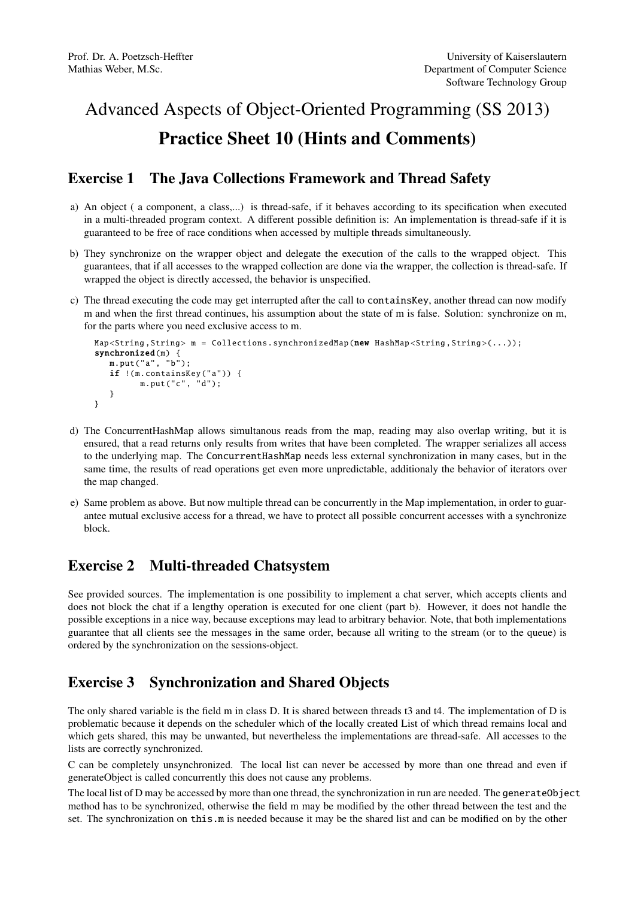## Advanced Aspects of Object-Oriented Programming (SS 2013) Practice Sheet 10 (Hints and Comments)

## Exercise 1 The Java Collections Framework and Thread Safety

- a) An object ( a component, a class,...) is thread-safe, if it behaves according to its specification when executed in a multi-threaded program context. A different possible definition is: An implementation is thread-safe if it is guaranteed to be free of race conditions when accessed by multiple threads simultaneously.
- b) They synchronize on the wrapper object and delegate the execution of the calls to the wrapped object. This guarantees, that if all accesses to the wrapped collection are done via the wrapper, the collection is thread-safe. If wrapped the object is directly accessed, the behavior is unspecified.
- c) The thread executing the code may get interrupted after the call to containsKey, another thread can now modify m and when the first thread continues, his assumption about the state of m is false. Solution: synchronize on m, for the parts where you need exclusive access to m.

```
Map<String, String> m = Collections.synchronizedMap(new HashMap<String, String>(...));
synchronized(m) {
   m.put("a", "b");
   if !(m. containsKey ("a")) {
         m.put("c", "d");
   }
}
```
- d) The ConcurrentHashMap allows simultanous reads from the map, reading may also overlap writing, but it is ensured, that a read returns only results from writes that have been completed. The wrapper serializes all access to the underlying map. The ConcurrentHashMap needs less external synchronization in many cases, but in the same time, the results of read operations get even more unpredictable, additionaly the behavior of iterators over the map changed.
- e) Same problem as above. But now multiple thread can be concurrently in the Map implementation, in order to guarantee mutual exclusive access for a thread, we have to protect all possible concurrent accesses with a synchronize block.

## Exercise 2 Multi-threaded Chatsystem

See provided sources. The implementation is one possibility to implement a chat server, which accepts clients and does not block the chat if a lengthy operation is executed for one client (part b). However, it does not handle the possible exceptions in a nice way, because exceptions may lead to arbitrary behavior. Note, that both implementations guarantee that all clients see the messages in the same order, because all writing to the stream (or to the queue) is ordered by the synchronization on the sessions-object.

## Exercise 3 Synchronization and Shared Objects

The only shared variable is the field m in class D. It is shared between threads t3 and t4. The implementation of D is problematic because it depends on the scheduler which of the locally created List of which thread remains local and which gets shared, this may be unwanted, but nevertheless the implementations are thread-safe. All accesses to the lists are correctly synchronized.

C can be completely unsynchronized. The local list can never be accessed by more than one thread and even if generateObject is called concurrently this does not cause any problems.

The local list of D may be accessed by more than one thread, the synchronization in run are needed. The generateObject method has to be synchronized, otherwise the field m may be modified by the other thread between the test and the set. The synchronization on this.m is needed because it may be the shared list and can be modified on by the other